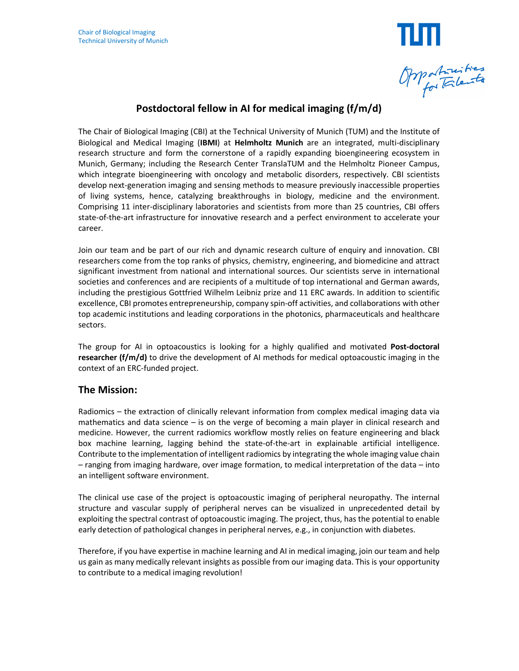

# **Postdoctoral fellow in AI for medical imaging (f/m/d)**

The Chair of Biological Imaging (CBI) at the Technical University of Munich (TUM) and the Institute of Biological and Medical Imaging (**IBMI**) at **Helmholtz Munich** are an integrated, multi-disciplinary research structure and form the cornerstone of a rapidly expanding bioengineering ecosystem in Munich, Germany; including the Research Center TranslaTUM and the Helmholtz Pioneer Campus, which integrate bioengineering with oncology and metabolic disorders, respectively. CBI scientists develop next-generation imaging and sensing methods to measure previously inaccessible properties of living systems, hence, catalyzing breakthroughs in biology, medicine and the environment. Comprising 11 inter-disciplinary laboratories and scientists from more than 25 countries, CBI offers state-of-the-art infrastructure for innovative research and a perfect environment to accelerate your career.

Join our team and be part of our rich and dynamic research culture of enquiry and innovation. CBI researchers come from the top ranks of physics, chemistry, engineering, and biomedicine and attract significant investment from national and international sources. Our scientists serve in international societies and conferences and are recipients of a multitude of top international and German awards, including the prestigious Gottfried Wilhelm Leibniz prize and 11 ERC awards. In addition to scientific excellence, CBI promotes entrepreneurship, company spin-off activities, and collaborations with other top academic institutions and leading corporations in the photonics, pharmaceuticals and healthcare sectors.

The group for AI in optoacoustics is looking for a highly qualified and motivated **Post-doctoral researcher (f/m/d)** to drive the development of AI methods for medical optoacoustic imaging in the context of an ERC-funded project.

#### **The Mission:**

Radiomics – the extraction of clinically relevant information from complex medical imaging data via mathematics and data science – is on the verge of becoming a main player in clinical research and medicine. However, the current radiomics workflow mostly relies on feature engineering and black box machine learning, lagging behind the state-of-the-art in explainable artificial intelligence. Contribute to the implementation of intelligent radiomics by integrating the whole imaging value chain – ranging from imaging hardware, over image formation, to medical interpretation of the data – into an intelligent software environment.

The clinical use case of the project is optoacoustic imaging of peripheral neuropathy. The internal structure and vascular supply of peripheral nerves can be visualized in unprecedented detail by exploiting the spectral contrast of optoacoustic imaging. The project, thus, has the potential to enable early detection of pathological changes in peripheral nerves, e.g., in conjunction with diabetes.

Therefore, if you have expertise in machine learning and AI in medical imaging, join our team and help us gain as many medically relevant insights as possible from our imaging data. This is your opportunity to contribute to a medical imaging revolution!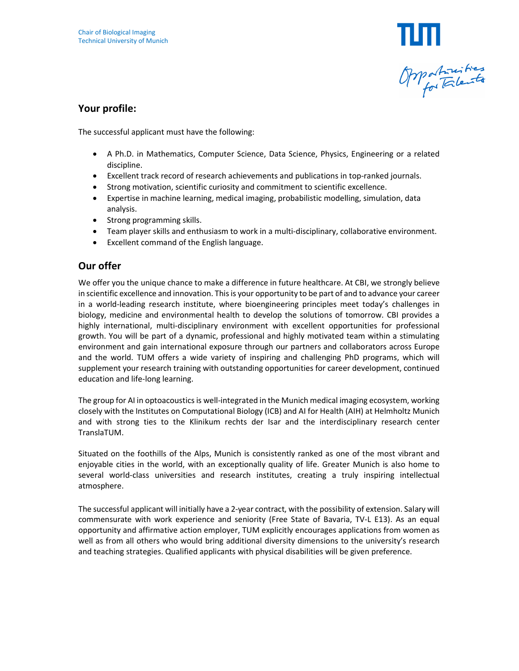

### **Your profile:**

The successful applicant must have the following:

- A Ph.D. in Mathematics, Computer Science, Data Science, Physics, Engineering or a related discipline.
- Excellent track record of research achievements and publications in top-ranked journals.
- Strong motivation, scientific curiosity and commitment to scientific excellence.
- Expertise in machine learning, medical imaging, probabilistic modelling, simulation, data analysis.
- Strong programming skills.
- Team player skills and enthusiasm to work in a multi-disciplinary, collaborative environment.
- Excellent command of the English language.

## **Our offer**

We offer you the unique chance to make a difference in future healthcare. At CBI, we strongly believe in scientific excellence and innovation. This is your opportunity to be part of and to advance your career in a world-leading research institute, where bioengineering principles meet today's challenges in biology, medicine and environmental health to develop the solutions of tomorrow. CBI provides a highly international, multi-disciplinary environment with excellent opportunities for professional growth. You will be part of a dynamic, professional and highly motivated team within a stimulating environment and gain international exposure through our partners and collaborators across Europe and the world. TUM offers a wide variety of inspiring and challenging PhD programs, which will supplement your research training with outstanding opportunities for career development, continued education and life-long learning.

The group for AI in optoacoustics is well-integrated in the Munich medical imaging ecosystem, working closely with the Institutes on Computational Biology (ICB) and AI for Health (AIH) at Helmholtz Munich and with strong ties to the Klinikum rechts der Isar and the interdisciplinary research center TranslaTUM.

Situated on the foothills of the Alps, Munich is consistently ranked as one of the most vibrant and enjoyable cities in the world, with an exceptionally quality of life. Greater Munich is also home to several world-class universities and research institutes, creating a truly inspiring intellectual atmosphere.

The successful applicant will initially have a 2-year contract, with the possibility of extension. Salary will commensurate with work experience and seniority (Free State of Bavaria, TV-L E13). As an equal opportunity and affirmative action employer, TUM explicitly encourages applications from women as well as from all others who would bring additional diversity dimensions to the university's research and teaching strategies. Qualified applicants with physical disabilities will be given preference.